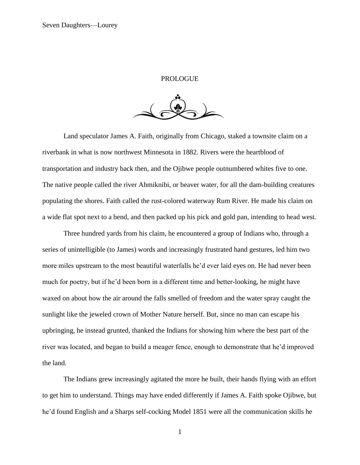## PROLOGUE

Land speculator James A. Faith, originally from Chicago, staked a townsite claim on a riverbank in what is now northwest Minnesota in 1882. Rivers were the heartblood of transportation and industry back then, and the Ojibwe people outnumbered whites five to one. The native people called the river Ahmiknibi, or beaver water, for all the dam-building creatures populating the shores. Faith called the rust-colored waterway Rum River. He made his claim on a wide flat spot next to a bend, and then packed up his pick and gold pan, intending to head west.

Three hundred yards from his claim, he encountered a group of Indians who, through a series of unintelligible (to James) words and increasingly frustrated hand gestures, led him two more miles upstream to the most beautiful waterfalls he'd ever laid eyes on. He had never been much for poetry, but if he'd been born in a different time and better-looking, he might have waxed on about how the air around the falls smelled of freedom and the water spray caught the sunlight like the jeweled crown of Mother Nature herself. But, since no man can escape his upbringing, he instead grunted, thanked the Indians for showing him where the best part of the river was located, and began to build a meager fence, enough to demonstrate that he'd improved the land.

The Indians grew increasingly agitated the more he built, their hands flying with an effort to get him to understand. Things may have ended differently if James A. Faith spoke Ojibwe, but he'd found English and a Sharps self-cocking Model 1851 were all the communication skills he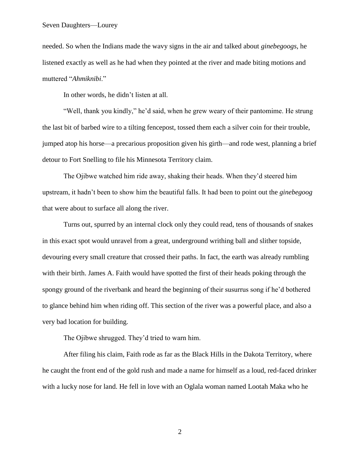needed. So when the Indians made the wavy signs in the air and talked about *ginebegoogs*, he listened exactly as well as he had when they pointed at the river and made biting motions and muttered "*Ahmiknibi*."

In other words, he didn't listen at all.

"Well, thank you kindly," he'd said, when he grew weary of their pantomime. He strung the last bit of barbed wire to a tilting fencepost, tossed them each a silver coin for their trouble, jumped atop his horse—a precarious proposition given his girth—and rode west, planning a brief detour to Fort Snelling to file his Minnesota Territory claim.

The Ojibwe watched him ride away, shaking their heads. When they'd steered him upstream, it hadn't been to show him the beautiful falls. It had been to point out the *ginebegoog* that were about to surface all along the river.

Turns out, spurred by an internal clock only they could read, tens of thousands of snakes in this exact spot would unravel from a great, underground writhing ball and slither topside, devouring every small creature that crossed their paths. In fact, the earth was already rumbling with their birth. James A. Faith would have spotted the first of their heads poking through the spongy ground of the riverbank and heard the beginning of their susurrus song if he'd bothered to glance behind him when riding off. This section of the river was a powerful place, and also a very bad location for building.

The Ojibwe shrugged. They'd tried to warn him.

After filing his claim, Faith rode as far as the Black Hills in the Dakota Territory, where he caught the front end of the gold rush and made a name for himself as a loud, red-faced drinker with a lucky nose for land. He fell in love with an Oglala woman named Lootah Maka who he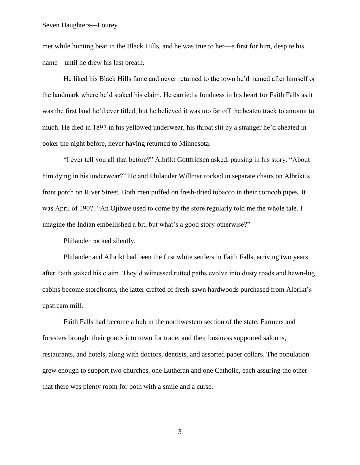## Seven Daughters—Lourey

met while hunting bear in the Black Hills, and he was true to her—a first for him, despite his name—until he drew his last breath.

He liked his Black Hills fame and never returned to the town he'd named after himself or the landmark where he'd staked his claim. He carried a fondness in his heart for Faith Falls as it was the first land he'd ever titled, but he believed it was too far off the beaten track to amount to much. He died in 1897 in his yellowed underwear, his throat slit by a stranger he'd cheated in poker the night before, never having returned to Minnesota.

"I ever tell you all that before?" Albrikt Gottfridsen asked, pausing in his story. "About him dying in his underwear?" He and Philander Willmar rocked in separate chairs on Albrikt's front porch on River Street. Both men puffed on fresh-dried tobacco in their corncob pipes. It was April of 1907. "An Ojibwe used to come by the store regularly told me the whole tale. I imagine the Indian embellished a bit, but what's a good story otherwise?"

Philander rocked silently.

Philander and Albrikt had been the first white settlers in Faith Falls, arriving two years after Faith staked his claim. They'd witnessed rutted paths evolve into dusty roads and hewn-log cabins become storefronts, the latter crafted of fresh-sawn hardwoods purchased from Albrikt's upstream mill.

Faith Falls had become a hub in the northwestern section of the state. Farmers and foresters brought their goods into town for trade, and their business supported saloons, restaurants, and hotels, along with doctors, dentists, and assorted paper collars. The population grew enough to support two churches, one Lutheran and one Catholic, each assuring the other that there was plenty room for both with a smile and a curse.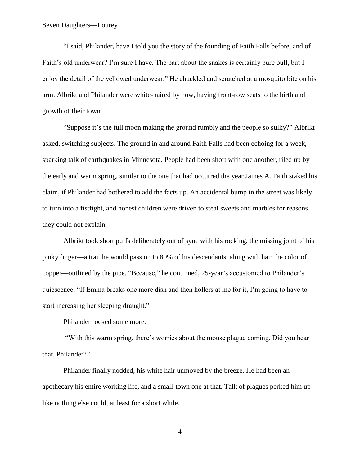"I said, Philander, have I told you the story of the founding of Faith Falls before, and of Faith's old underwear? I'm sure I have. The part about the snakes is certainly pure bull, but I enjoy the detail of the yellowed underwear." He chuckled and scratched at a mosquito bite on his arm. Albrikt and Philander were white-haired by now, having front-row seats to the birth and growth of their town.

"Suppose it's the full moon making the ground rumbly and the people so sulky?" Albrikt asked, switching subjects. The ground in and around Faith Falls had been echoing for a week, sparking talk of earthquakes in Minnesota. People had been short with one another, riled up by the early and warm spring, similar to the one that had occurred the year James A. Faith staked his claim, if Philander had bothered to add the facts up. An accidental bump in the street was likely to turn into a fistfight, and honest children were driven to steal sweets and marbles for reasons they could not explain.

Albrikt took short puffs deliberately out of sync with his rocking, the missing joint of his pinky finger—a trait he would pass on to 80% of his descendants, along with hair the color of copper—outlined by the pipe. "Because," he continued, 25-year's accustomed to Philander's quiescence, "If Emma breaks one more dish and then hollers at me for it, I'm going to have to start increasing her sleeping draught."

Philander rocked some more.

"With this warm spring, there's worries about the mouse plague coming. Did you hear that, Philander?"

Philander finally nodded, his white hair unmoved by the breeze. He had been an apothecary his entire working life, and a small-town one at that. Talk of plagues perked him up like nothing else could, at least for a short while.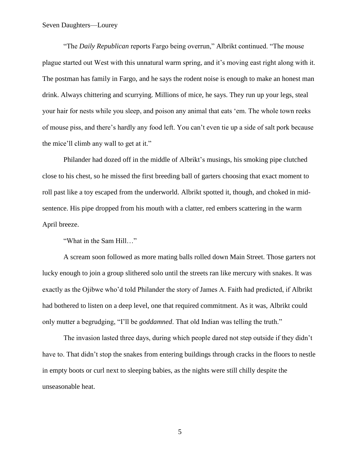"The *Daily Republican* reports Fargo being overrun," Albrikt continued. "The mouse plague started out West with this unnatural warm spring, and it's moving east right along with it. The postman has family in Fargo, and he says the rodent noise is enough to make an honest man drink. Always chittering and scurrying. Millions of mice, he says. They run up your legs, steal your hair for nests while you sleep, and poison any animal that eats 'em. The whole town reeks of mouse piss, and there's hardly any food left. You can't even tie up a side of salt pork because the mice'll climb any wall to get at it."

Philander had dozed off in the middle of Albrikt's musings, his smoking pipe clutched close to his chest, so he missed the first breeding ball of garters choosing that exact moment to roll past like a toy escaped from the underworld. Albrikt spotted it, though, and choked in midsentence. His pipe dropped from his mouth with a clatter, red embers scattering in the warm April breeze.

"What in the Sam Hill…"

A scream soon followed as more mating balls rolled down Main Street. Those garters not lucky enough to join a group slithered solo until the streets ran like mercury with snakes. It was exactly as the Ojibwe who'd told Philander the story of James A. Faith had predicted, if Albrikt had bothered to listen on a deep level, one that required commitment. As it was, Albrikt could only mutter a begrudging, "I'll be *goddamned*. That old Indian was telling the truth."

The invasion lasted three days, during which people dared not step outside if they didn't have to. That didn't stop the snakes from entering buildings through cracks in the floors to nestle in empty boots or curl next to sleeping babies, as the nights were still chilly despite the unseasonable heat.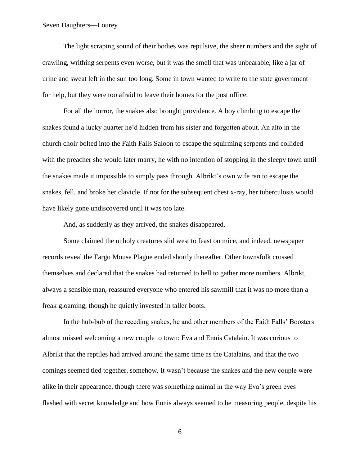The light scraping sound of their bodies was repulsive, the sheer numbers and the sight of crawling, writhing serpents even worse, but it was the smell that was unbearable, like a jar of urine and sweat left in the sun too long. Some in town wanted to write to the state government for help, but they were too afraid to leave their homes for the post office.

For all the horror, the snakes also brought providence. A boy climbing to escape the snakes found a lucky quarter he'd hidden from his sister and forgotten about. An alto in the church choir bolted into the Faith Falls Saloon to escape the squirming serpents and collided with the preacher she would later marry, he with no intention of stopping in the sleepy town until the snakes made it impossible to simply pass through. Albrikt's own wife ran to escape the snakes, fell, and broke her clavicle. If not for the subsequent chest x-ray, her tuberculosis would have likely gone undiscovered until it was too late.

And, as suddenly as they arrived, the snakes disappeared.

Some claimed the unholy creatures slid west to feast on mice, and indeed, newspaper records reveal the Fargo Mouse Plague ended shortly thereafter. Other townsfolk crossed themselves and declared that the snakes had returned to hell to gather more numbers. Albrikt, always a sensible man, reassured everyone who entered his sawmill that it was no more than a freak gloaming, though he quietly invested in taller boots.

In the hub-bub of the receding snakes, he and other members of the Faith Falls' Boosters almost missed welcoming a new couple to town: Eva and Ennis Catalain. It was curious to Albrikt that the reptiles had arrived around the same time as the Catalains, and that the two comings seemed tied together, somehow. It wasn't because the snakes and the new couple were alike in their appearance, though there was something animal in the way Eva's green eyes flashed with secret knowledge and how Ennis always seemed to be measuring people, despite his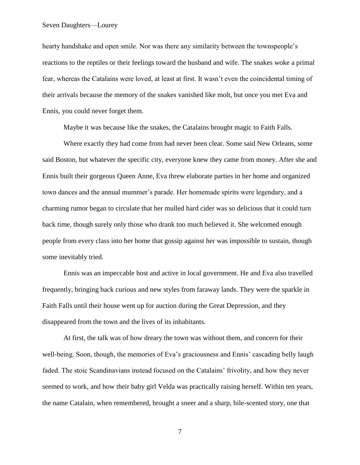## Seven Daughters—Lourey

hearty handshake and open smile. Nor was there any similarity between the townspeople's reactions to the reptiles or their feelings toward the husband and wife. The snakes woke a primal fear, whereas the Catalains were loved, at least at first. It wasn't even the coincidental timing of their arrivals because the memory of the snakes vanished like molt, but once you met Eva and Ennis, you could never forget them.

Maybe it was because like the snakes, the Catalains brought magic to Faith Falls.

Where exactly they had come from had never been clear. Some said New Orleans, some said Boston, but whatever the specific city, everyone knew they came from money. After she and Ennis built their gorgeous Queen Anne, Eva threw elaborate parties in her home and organized town dances and the annual mummer's parade. Her homemade spirits were legendary, and a charming rumor began to circulate that her mulled hard cider was so delicious that it could turn back time, though surely only those who drank too much believed it. She welcomed enough people from every class into her home that gossip against her was impossible to sustain, though some inevitably tried.

Ennis was an impeccable host and active in local government. He and Eva also travelled frequently, bringing back curious and new styles from faraway lands. They were the sparkle in Faith Falls until their house went up for auction during the Great Depression, and they disappeared from the town and the lives of its inhabitants.

At first, the talk was of how dreary the town was without them, and concern for their well-being. Soon, though, the memories of Eva's graciousness and Ennis' cascading belly laugh faded. The stoic Scandinavians instead focused on the Catalains' frivolity, and how they never seemed to work, and how their baby girl Velda was practically raising herself. Within ten years, the name Catalain, when remembered, brought a sneer and a sharp, bile-scented story, one that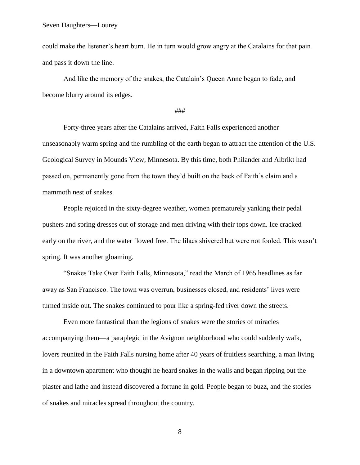could make the listener's heart burn. He in turn would grow angry at the Catalains for that pain and pass it down the line.

And like the memory of the snakes, the Catalain's Queen Anne began to fade, and become blurry around its edges.

## ###

Forty-three years after the Catalains arrived, Faith Falls experienced another unseasonably warm spring and the rumbling of the earth began to attract the attention of the U.S. Geological Survey in Mounds View, Minnesota. By this time, both Philander and Albrikt had passed on, permanently gone from the town they'd built on the back of Faith's claim and a mammoth nest of snakes.

People rejoiced in the sixty-degree weather, women prematurely yanking their pedal pushers and spring dresses out of storage and men driving with their tops down. Ice cracked early on the river, and the water flowed free. The lilacs shivered but were not fooled. This wasn't spring. It was another gloaming.

"Snakes Take Over Faith Falls, Minnesota," read the March of 1965 headlines as far away as San Francisco. The town was overrun, businesses closed, and residents' lives were turned inside out. The snakes continued to pour like a spring-fed river down the streets.

Even more fantastical than the legions of snakes were the stories of miracles accompanying them—a paraplegic in the Avignon neighborhood who could suddenly walk, lovers reunited in the Faith Falls nursing home after 40 years of fruitless searching, a man living in a downtown apartment who thought he heard snakes in the walls and began ripping out the plaster and lathe and instead discovered a fortune in gold. People began to buzz, and the stories of snakes and miracles spread throughout the country.